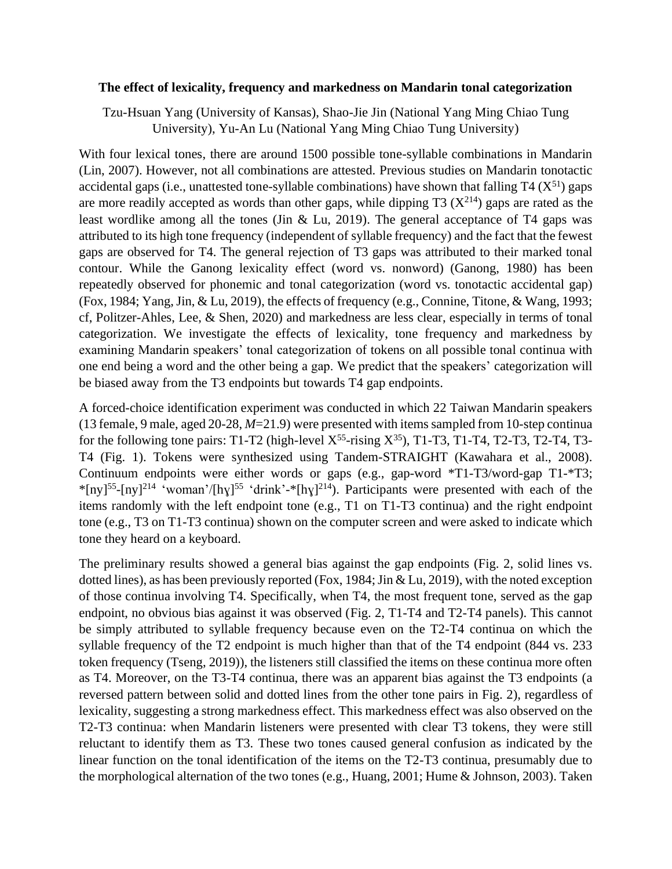## **The effect of lexicality, frequency and markedness on Mandarin tonal categorization**

Tzu-Hsuan Yang (University of Kansas), Shao-Jie Jin (National Yang Ming Chiao Tung University), Yu-An Lu (National Yang Ming Chiao Tung University)

With four lexical tones, there are around 1500 possible tone-syllable combinations in Mandarin (Lin, 2007). However, not all combinations are attested. Previous studies on Mandarin tonotactic accidental gaps (i.e., unattested tone-syllable combinations) have shown that falling  $T4 (X^{51})$  gaps are more readily accepted as words than other gaps, while dipping T3  $(X^{214})$  gaps are rated as the least wordlike among all the tones (Jin & Lu, 2019). The general acceptance of T4 gaps was attributed to its high tone frequency (independent of syllable frequency) and the fact that the fewest gaps are observed for T4. The general rejection of T3 gaps was attributed to their marked tonal contour. While the Ganong lexicality effect (word vs. nonword) (Ganong, 1980) has been repeatedly observed for phonemic and tonal categorization (word vs. tonotactic accidental gap) (Fox, 1984; Yang, Jin, & Lu, 2019), the effects of frequency (e.g., Connine, Titone, & Wang, 1993; cf, Politzer-Ahles, Lee, & Shen, 2020) and markedness are less clear, especially in terms of tonal categorization. We investigate the effects of lexicality, tone frequency and markedness by examining Mandarin speakers' tonal categorization of tokens on all possible tonal continua with one end being a word and the other being a gap. We predict that the speakers' categorization will be biased away from the T3 endpoints but towards T4 gap endpoints.

A forced-choice identification experiment was conducted in which 22 Taiwan Mandarin speakers (13 female, 9 male, aged 20-28, *M*=21.9) were presented with items sampled from 10-step continua for the following tone pairs: T1-T2 (high-level  $X^{55}$ -rising  $X^{35}$ ), T1-T3, T1-T4, T2-T3, T2-T4, T3-T4 (Fig. 1). Tokens were synthesized using Tandem-STRAIGHT (Kawahara et al., 2008). Continuum endpoints were either words or gaps (e.g., gap-word \*T1-T3/word-gap T1-\*T3; \*[ny]<sup>55</sup>-[ny]<sup>214</sup> 'woman'/[hy]<sup>55</sup> 'drink'-\*[hy]<sup>214</sup>). Participants were presented with each of the items randomly with the left endpoint tone (e.g., T1 on T1-T3 continua) and the right endpoint tone (e.g., T3 on T1-T3 continua) shown on the computer screen and were asked to indicate which tone they heard on a keyboard.

The preliminary results showed a general bias against the gap endpoints (Fig. 2, solid lines vs. dotted lines), as has been previously reported (Fox, 1984; Jin & Lu, 2019), with the noted exception of those continua involving T4. Specifically, when T4, the most frequent tone, served as the gap endpoint, no obvious bias against it was observed (Fig. 2, T1-T4 and T2-T4 panels). This cannot be simply attributed to syllable frequency because even on the T2-T4 continua on which the syllable frequency of the T2 endpoint is much higher than that of the T4 endpoint (844 vs. 233 token frequency (Tseng, 2019)), the listeners still classified the items on these continua more often as T4. Moreover, on the T3-T4 continua, there was an apparent bias against the T3 endpoints (a reversed pattern between solid and dotted lines from the other tone pairs in Fig. 2), regardless of lexicality, suggesting a strong markedness effect. This markedness effect was also observed on the T2-T3 continua: when Mandarin listeners were presented with clear T3 tokens, they were still reluctant to identify them as T3. These two tones caused general confusion as indicated by the linear function on the tonal identification of the items on the T2-T3 continua, presumably due to the morphological alternation of the two tones (e.g., Huang, 2001; Hume & Johnson, 2003). Taken